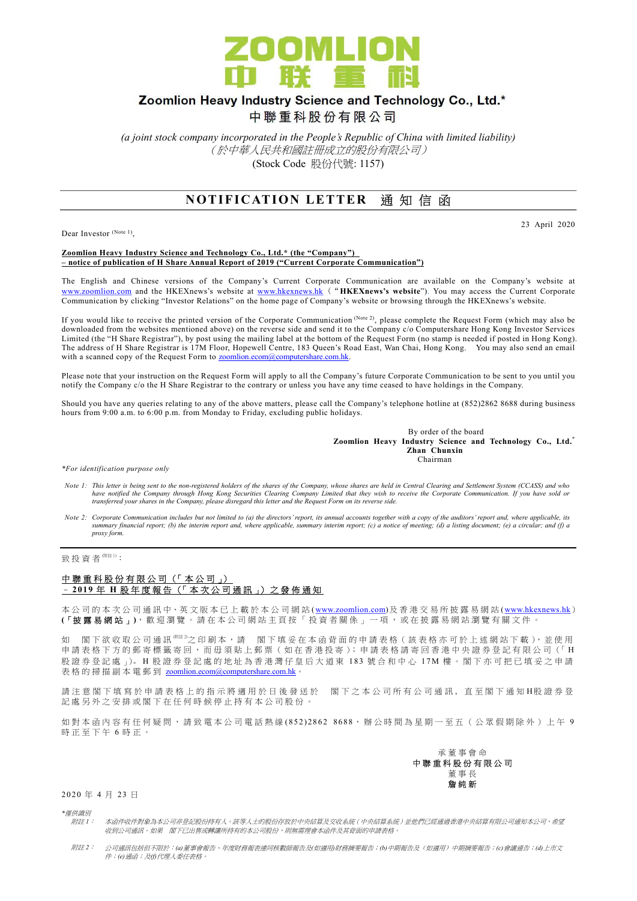

# Zoomlion Heavy Industry Science and Technology Co., Ltd.\*

中聯重科股份有限公司

(a joint stock company incorporated in the People's Republic of China with limited liability) (於中華人民共和國註冊成立的股份有限公司) (Stock Code 股份代號: 1157)

## **NOTIFICATION LETTER 通知信函**

Dear Investor (Note 1),

#### 23 April 2020

#### Zoomlion Heavy Industry Science and Technology Co., Ltd.\* (the "Company") – notice of publication of H Share Annual Report of 2019 ("Current Corporate Communication")

The English and Chinese versions of the Company's Current Corporate Communication are available on the Company's website at www.zoomlion.com and the HKEXnews's website at www.hkexnews.hk ("HKEXnews's website"). You may access the Current Corporate Communication by clicking "Investor Relations" on the home page of Company's website or browsing through the HKEXnews's website.

If you would like to receive the printed version of the Corporate Communication (Note 2), please complete the Request Form (which may also be downloaded from the websites mentioned above) on the reverse side and send it to the Company c/o Computershare Hong Kong Investor Services Limited (the "H Share Registrar"), by post using the mailing label at the bottom of the Request Form (no stamp is needed if posted in Hong Kong). The address of H Share Registrar is 17M Floor, Hopewell Centre, 183 Queen's Road East, Wan Chai, Hong Kong. You may also send an email with a scanned copy of the Request Form to zoomlion.ecom@computershare.com.hk.

Please note that your instruction on the Request Form will apply to all the Company's future Corporate Communication to be sent to you until you notify the Company c/o the H Share Registrar to the contrary or unless you have any time ceased to have holdings in the Company.

Should you have any queries relating to any of the above matters, please call the Company's telephone hotline at (852)2862 8688 during business hours from 9:00 a.m. to 6:00 p.m. from Monday to Friday, excluding public holidays.

> By order of the board Zoomlion Heavy Industry Science and Technology Co., Ltd.\* Zhan Chunxin Chairman

\*For identification purpose only

- Note 1: This letter is being sent to the non-registered holders of the shares of the Company, whose shares are held in Central Clearing and Settlement System (CCASS) and who have notified the Company through Hong Kong Securities Clearing Company Limited that they wish to receive the Corporate Communication. If you have sold or<br>transferred your shares in the Company, please disregard this lette
- Note 2: Corporate Communication includes but not limited to (a) the directors' report, its annual accounts together with a copy of the auditors' report and, where applicable, its summary financial report; (b) the interim report and, where applicable, summary interim report; (c) a notice of meeting; (d) a listing document; (e) a circular; and (f) a proxy form.

### 致投資者 $$ 附註 1):</sup>

### 中聯重科股份有限公司 (「本公司」) – 2 01 9 年 H 股 年 度 報 告 (「 本 次 公 司 通 訊 」) 之 發 佈 通 知

本 公 司 的 本 次 公 司 通 訊 中、英 文 版 本 已 上 載 於 本 公 司 網 站 (www.zoomlion.com)及 香 港 交 易 所 披 露 易 網 站 (www.hkexnews.hk) (「披露易網站」), 歡 迎 瀏 覽 。 請 在 本 公 司 網 站 主 頁 按 「 投 資 者 關 係 」 一 項 , 或 在 披 露 易 網 站 瀏 覽 有 關 文 件 。

如 閣下 欲 收 取 公 司 通 訊 <sup>《註 3</sup>之 印 刷 本 ,請 閣 下 填 妥 在 本 函 背 面 的 申 請 表 格 ( 該 表 格 亦 可 於 上 述 網 站 下 載 ), 並 使 用 申請表格下方的郵寄標籤寄回,而毋須貼上郵票 (如在香港投寄); 申請表格請寄回香港中央證券登記有限公司 (「H 股證券登記處 」)。H 股證券登記處的地址為香港灣仔皇后大道東 183 號合和中心 17M 樓。閣下亦可把已填妥之申請 表格的掃描副本電郵到 zoomlion.ecom@computershare.com.hk

請注 意 閣 下 填 寫 於 申 請 表 格 上 的 指 示 將 適 用 於 日 後 發 送 於 图 下 之 本 公 司 所 有 公 司 通 訊 , 直 至 閣 下 通 知 H股 證 券 登 記處另外之安排或閣下在任何時候停止持有本公司股份。

如對本 函 内 容 有 任 何 疑 問 , 請 致 電 本 公 司 電 話 熱 線 (852) 2862 8688, 辦 公 時 間 為 星 期 一 至 五 ( 公 眾 假 期 除 外 ) 上 午 9 時正至下午 6 時正。



2 0 20 年 4 月 23 日

\*僅供識別

- 附註 1: 本函件收件對象為本公司非登記股份持有人。該等人士的股份存放於中央結算及交收系統(中央結算系統)並他們已經通過香港中央結算有限公司通知本公司,希望 收到公司通訊。如果 閣下已出售或轉讓所持有的本公司股份,則無需理會本函件及其背面的申請表格。
- 附註 2: 公司通訊包括但不限於:(a)董事會報告、年度財務報表連同核數師報告及(如適用)財務摘要報告;(b)中期報告及(如適用)中期摘要報告;(c)會議通告;(d)上市文 件;(e)通函;及(f)代理人委任表格。